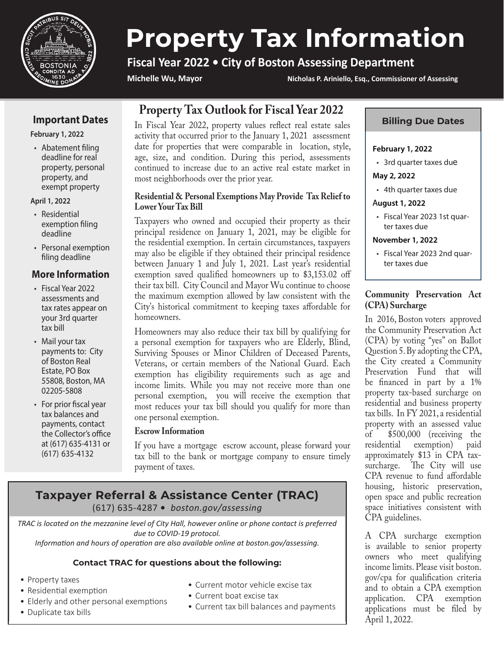

# **Property Tax Information**

# **Fiscal Year 2022 • City of Boston Assessing Department**

**Michelle Wu, Mayor Nicholas P. Ariniello, Esq., Commissioner of Assessing**

# **Important Dates**

**February 1, 2022**

• Abatement filing deadline for real property, personal property, and exempt property

#### **April 1, 2022**

- Residential exemption filing deadline
- Personal exemption filing deadline

# **More Information**

- Fiscal Year 2022 assessments and tax rates appear on your 3rd quarter tax bill
- Mail your tax payments to: City of Boston Real Estate, PO Box 55808, Boston, MA 02205-5808
- For prior fiscal year tax balances and payments, contact the Collector's office at (617) 635-4131 or (617) 635-4132

# **Property Tax Outlook for Fiscal Year 2022**

In Fiscal Year 2022, property values reflect real estate sales activity that occurred prior to the January 1, 2021 assessment date for properties that were comparable in location, style, age, size, and condition. During this period, assessments continued to increase due to an active real estate market in most neighborhoods over the prior year.

# **Residential & Personal Exemptions May Provide Tax Relief to Lower Your Tax Bill**

Taxpayers who owned and occupied their property as their principal residence on January 1, 2021, may be eligible for the residential exemption. In certain circumstances, taxpayers may also be eligible if they obtained their principal residence between January 1 and July 1, 2021. Last year's residential exemption saved qualified homeowners up to \$3,153.02 off their tax bill. City Council and Mayor Wu continue to choose the maximum exemption allowed by law consistent with the City's historical commitment to keeping taxes affordable for homeowners.

Homeowners may also reduce their tax bill by qualifying for a personal exemption for taxpayers who are Elderly, Blind, Surviving Spouses or Minor Children of Deceased Parents, Veterans, or certain members of the National Guard. Each exemption has eligibility requirements such as age and income limits. While you may not receive more than one personal exemption, you will receive the exemption that most reduces your tax bill should you qualify for more than one personal exemption.

# **Escrow Information**

If you have a mortgage escrow account, please forward your tax bill to the bank or mortgage company to ensure timely payment of taxes.

# **Taxpayer Referral & Assistance Center (TRAC)** (617) 635-4287 **•** *boston.gov/assessing*

*TRAC is located on the mezzanine level of City Hall, however online or phone contact is preferred due to COVID-19 protocol.* 

*Information and hours of operation are also available online at boston.gov/assessing.*

# **Contact TRAC for questions about the following:**

- Property taxes
- Residential exemption
- Elderly and other personal exemptions
- Duplicate tax bills
- Current motor vehicle excise tax
- Current boat excise tax
- Current tax bill balances and payments

## **Billing Due Dates**

#### **February 1, 2022**

• 3rd quarter taxes due

**May 2, 2022**

• 4th quarter taxes due

#### A**ugust 1, 2022**

• Fiscal Year 2023 1st quarter taxes due

#### **November 1, 2022**

• Fiscal Year 2023 2nd quarter taxes due

# **Community Preservation Act (CPA) Surcharge**

In 2016, Boston voters approved the Community Preservation Act (CPA) by voting "yes" on Ballot Question 5. By adopting the CPA, the City created a Community Preservation Fund that will be financed in part by a 1% property tax-based surcharge on residential and business property tax bills. In FY 2021, a residential property with an assessed value<br>of \$500,000 (receiving the of \$500,000 (receiving the exemption) paid approximately \$13 in CPA taxsurcharge. The City will use CPA revenue to fund affordable housing, historic preservation, open space and public recreation space initiatives consistent with CPA guidelines.

A CPA surcharge exemption is available to senior property owners who meet qualifying income limits. Please visit boston. gov/cpa for qualification criteria and to obtain a CPA exemption application. CPA exemption applications must be filed by April 1, 2022.